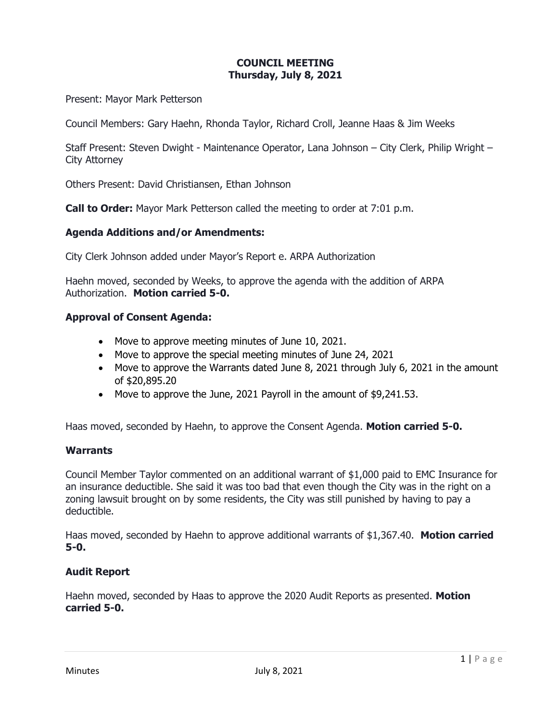# **COUNCIL MEETING Thursday, July 8, 2021**

Present: Mayor Mark Petterson

Council Members: Gary Haehn, Rhonda Taylor, Richard Croll, Jeanne Haas & Jim Weeks

Staff Present: Steven Dwight - Maintenance Operator, Lana Johnson – City Clerk, Philip Wright – City Attorney

Others Present: David Christiansen, Ethan Johnson

**Call to Order:** Mayor Mark Petterson called the meeting to order at 7:01 p.m.

#### **Agenda Additions and/or Amendments:**

City Clerk Johnson added under Mayor's Report e. ARPA Authorization

Haehn moved, seconded by Weeks, to approve the agenda with the addition of ARPA Authorization. **Motion carried 5-0.**

#### **Approval of Consent Agenda:**

- Move to approve meeting minutes of June 10, 2021.
- Move to approve the special meeting minutes of June 24, 2021
- Move to approve the Warrants dated June 8, 2021 through July 6, 2021 in the amount of \$20,895.20
- Move to approve the June, 2021 Payroll in the amount of \$9,241.53.

Haas moved, seconded by Haehn, to approve the Consent Agenda. **Motion carried 5-0.**

#### **Warrants**

Council Member Taylor commented on an additional warrant of \$1,000 paid to EMC Insurance for an insurance deductible. She said it was too bad that even though the City was in the right on a zoning lawsuit brought on by some residents, the City was still punished by having to pay a deductible.

Haas moved, seconded by Haehn to approve additional warrants of \$1,367.40. **Motion carried 5-0.**

#### **Audit Report**

Haehn moved, seconded by Haas to approve the 2020 Audit Reports as presented. **Motion carried 5-0.**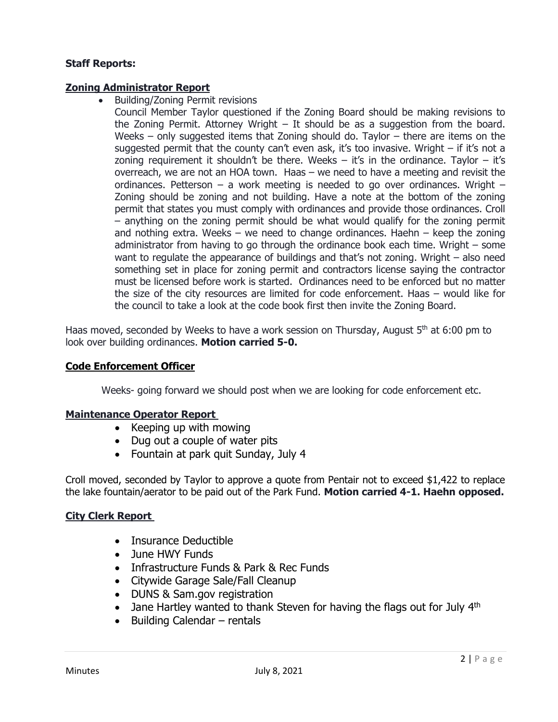# **Staff Reports:**

## **Zoning Administrator Report**

• Building/Zoning Permit revisions

Council Member Taylor questioned if the Zoning Board should be making revisions to the Zoning Permit. Attorney Wright – It should be as a suggestion from the board. Weeks – only suggested items that Zoning should do. Taylor – there are items on the suggested permit that the county can't even ask, it's too invasive. Wright – if it's not a zoning requirement it shouldn't be there. Weeks  $-$  it's in the ordinance. Taylor  $-$  it's overreach, we are not an HOA town. Haas – we need to have a meeting and revisit the ordinances. Petterson  $-$  a work meeting is needed to go over ordinances. Wright  $-$ Zoning should be zoning and not building. Have a note at the bottom of the zoning permit that states you must comply with ordinances and provide those ordinances. Croll – anything on the zoning permit should be what would qualify for the zoning permit and nothing extra. Weeks  $-$  we need to change ordinances. Haehn  $-$  keep the zoning administrator from having to go through the ordinance book each time. Wright – some want to regulate the appearance of buildings and that's not zoning. Wright – also need something set in place for zoning permit and contractors license saying the contractor must be licensed before work is started. Ordinances need to be enforced but no matter the size of the city resources are limited for code enforcement. Haas – would like for the council to take a look at the code book first then invite the Zoning Board.

Haas moved, seconded by Weeks to have a work session on Thursday, August 5<sup>th</sup> at 6:00 pm to look over building ordinances. **Motion carried 5-0.**

## **Code Enforcement Officer**

Weeks- going forward we should post when we are looking for code enforcement etc.

#### **Maintenance Operator Report**

- Keeping up with mowing
- Dug out a couple of water pits
- Fountain at park quit Sunday, July 4

Croll moved, seconded by Taylor to approve a quote from Pentair not to exceed \$1,422 to replace the lake fountain/aerator to be paid out of the Park Fund. **Motion carried 4-1. Haehn opposed.** 

# **City Clerk Report**

- Insurance Deductible
- June HWY Funds
- Infrastructure Funds & Park & Rec Funds
- Citywide Garage Sale/Fall Cleanup
- DUNS & Sam.gov registration
- Jane Hartley wanted to thank Steven for having the flags out for July  $4<sup>th</sup>$
- Building Calendar rentals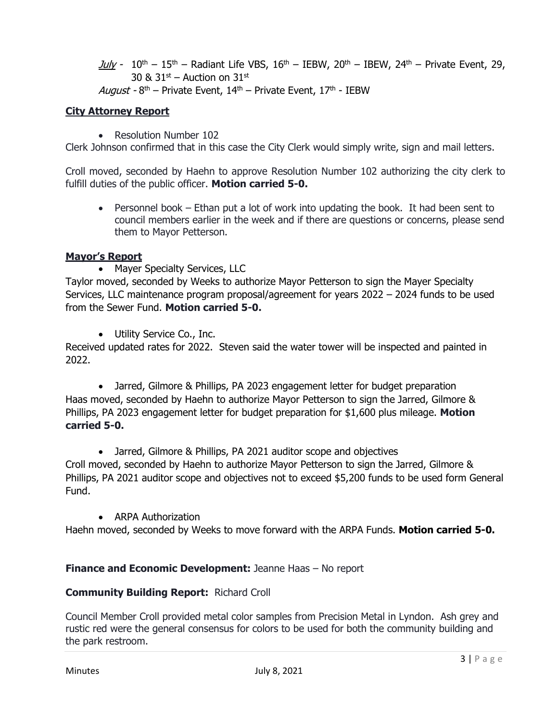July -  $10^{th}$  –  $15^{th}$  – Radiant Life VBS,  $16^{th}$  – IEBW,  $20^{th}$  – IBEW,  $24^{th}$  – Private Event, 29, 30 &  $31<sup>st</sup>$  – Auction on  $31<sup>st</sup>$ 

August - 8<sup>th</sup> – Private Event, 14<sup>th</sup> – Private Event, 17<sup>th</sup> - IEBW

# **City Attorney Report**

• Resolution Number 102

Clerk Johnson confirmed that in this case the City Clerk would simply write, sign and mail letters.

Croll moved, seconded by Haehn to approve Resolution Number 102 authorizing the city clerk to fulfill duties of the public officer. **Motion carried 5-0.**

• Personnel book – Ethan put a lot of work into updating the book. It had been sent to council members earlier in the week and if there are questions or concerns, please send them to Mayor Petterson.

# **Mayor's Report**

• Mayer Specialty Services, LLC

Taylor moved, seconded by Weeks to authorize Mayor Petterson to sign the Mayer Specialty Services, LLC maintenance program proposal/agreement for years 2022 – 2024 funds to be used from the Sewer Fund. **Motion carried 5-0.**

• Utility Service Co., Inc.

Received updated rates for 2022. Steven said the water tower will be inspected and painted in 2022.

• Jarred, Gilmore & Phillips, PA 2023 engagement letter for budget preparation Haas moved, seconded by Haehn to authorize Mayor Petterson to sign the Jarred, Gilmore & Phillips, PA 2023 engagement letter for budget preparation for \$1,600 plus mileage. **Motion carried 5-0.**

• Jarred, Gilmore & Phillips, PA 2021 auditor scope and objectives

Croll moved, seconded by Haehn to authorize Mayor Petterson to sign the Jarred, Gilmore & Phillips, PA 2021 auditor scope and objectives not to exceed \$5,200 funds to be used form General Fund.

• ARPA Authorization

Haehn moved, seconded by Weeks to move forward with the ARPA Funds. **Motion carried 5-0.**

# **Finance and Economic Development:** Jeanne Haas – No report

# **Community Building Report:** Richard Croll

Council Member Croll provided metal color samples from Precision Metal in Lyndon. Ash grey and rustic red were the general consensus for colors to be used for both the community building and the park restroom.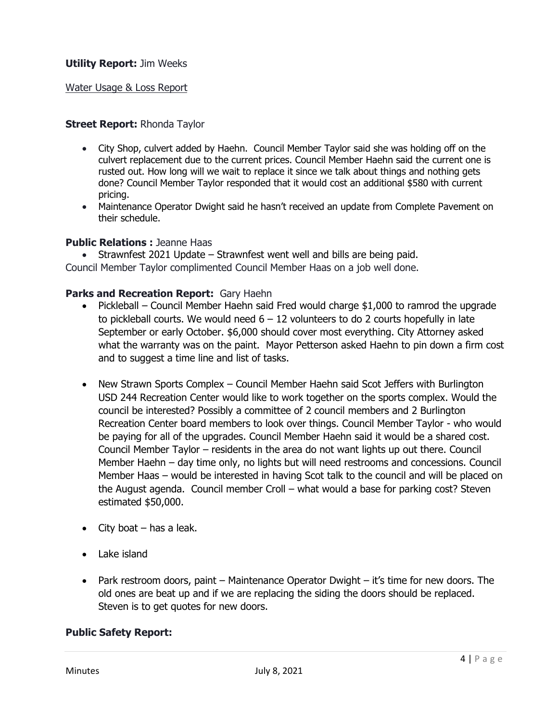### Water Usage & Loss Report

### **Street Report:** Rhonda Taylor

- City Shop, culvert added by Haehn. Council Member Taylor said she was holding off on the culvert replacement due to the current prices. Council Member Haehn said the current one is rusted out. How long will we wait to replace it since we talk about things and nothing gets done? Council Member Taylor responded that it would cost an additional \$580 with current pricing.
- Maintenance Operator Dwight said he hasn't received an update from Complete Pavement on their schedule.

#### **Public Relations :** Jeanne Haas

• Strawnfest 2021 Update – Strawnfest went well and bills are being paid. Council Member Taylor complimented Council Member Haas on a job well done.

### **Parks and Recreation Report:** Gary Haehn

- Pickleball Council Member Haehn said Fred would charge \$1,000 to ramrod the upgrade to pickleball courts. We would need  $6 - 12$  volunteers to do 2 courts hopefully in late September or early October. \$6,000 should cover most everything. City Attorney asked what the warranty was on the paint. Mayor Petterson asked Haehn to pin down a firm cost and to suggest a time line and list of tasks.
- New Strawn Sports Complex Council Member Haehn said Scot Jeffers with Burlington USD 244 Recreation Center would like to work together on the sports complex. Would the council be interested? Possibly a committee of 2 council members and 2 Burlington Recreation Center board members to look over things. Council Member Taylor - who would be paying for all of the upgrades. Council Member Haehn said it would be a shared cost. Council Member Taylor – residents in the area do not want lights up out there. Council Member Haehn – day time only, no lights but will need restrooms and concessions. Council Member Haas – would be interested in having Scot talk to the council and will be placed on the August agenda. Council member Croll – what would a base for parking cost? Steven estimated \$50,000.
- City boat  $-$  has a leak.
- Lake island
- Park restroom doors, paint Maintenance Operator Dwight it's time for new doors. The old ones are beat up and if we are replacing the siding the doors should be replaced. Steven is to get quotes for new doors.

#### **Public Safety Report:**